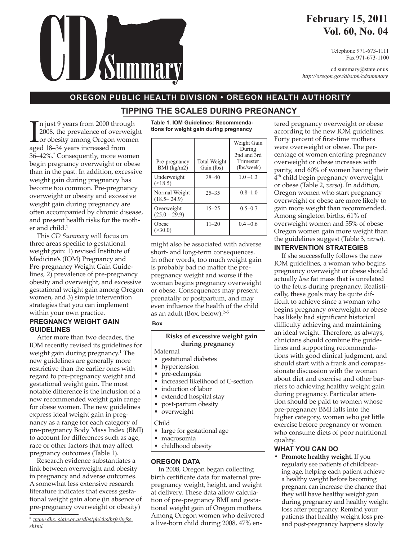# **February 15, 2011 Vol. 60, No. 04**

Telephone 971-673-1111 Fax 971-673-1100

cd.summary@state.or.us *http://oregon.gov/dhs/ph/cdsummary*

## **OREGON PUBLIC HEALTH DIVISION • OREGON HEALTH AUTHORITY** TIDDING THE COALES DUDING BRECHANGY **TIPPING THE SCALES DURING PREGNANCY**

In just 9 years from 2000 throuse 2008, the prevalence of overw<br>
or obesity among Oregon working 18–34 years increased from n just 9 years from 2000 through 2008, the prevalence of overweight or obesity among Oregon women 36–42%.\* Consequently, more women begin pregnancy overweight or obese than in the past. In addition, excessive weight gain during pregnancy has become too common. Pre-pregnancy overweight or obesity and excessive weight gain during pregnancy are often accompanied by chronic disease, and present health risks for the mother and child.<sup>1</sup>

This *CD Summary* will focus on three areas specific to gestational weight gain: 1) revised Institute of Medicine's (IOM) Pregnancy and Pre-pregnancy Weight Gain Guidelines, 2) prevalence of pre-pregnancy obesity and overweight, and excessive gestational weight gain among Oregon women, and 3) simple intervention strategies that you can implement within your own practice.

# **PREGNANCY WEIGHT GAIN GUIDELINES**

After more than two decades, the IOM recently revised its guidelines for weight gain during pregnancy.<sup>1</sup> The new guidelines are generally more restrictive than the earlier ones with regard to pre-pregnancy weight and gestational weight gain. The most notable difference is the inclusion of a new recommended weight gain range for obese women. The new guidelines express ideal weight gain in pregnancy as a range for each category of pre-pregnancy Body Mass Index (BMI) to account for differences such as age, race or other factors that may affect pregnancy outcomes (Table 1).

Research evidence substantiates a link between overweight and obesity in pregnancy and adverse outcomes. A somewhat less extensive research literature indicates that excess gestational weight gain alone (in absence of pre-pregnancy overweight or obesity)

**Table 1. IOM Guidelines: Recommendations for weight gain during pregnancy**

| Pre-pregnancy<br>$BMI$ (kg/m2)   | <b>Total Weight</b><br>Gain (lbs) | Weight Gain<br>During<br>2nd and 3rd<br>Trimester<br>(lbs/week) |
|----------------------------------|-----------------------------------|-----------------------------------------------------------------|
| Underweight<br>$($ < 18.5)       | $28 - 40$                         | $1.0 - 1.3$                                                     |
| Normal Weight<br>$(18.5 - 24.9)$ | $25 - 35$                         | $0.8 - 1.0$                                                     |
| Overweight<br>$(25.0 - 29.9)$    | $15 - 25$                         | $0.5 - 0.7$                                                     |
| Obese<br>>30.0                   | $11 - 20$                         | $0.4 - 0.6$                                                     |

might also be associated with adverse short- and long-term consequences. In other words, too much weight gain is probably bad no matter the prepregnancy weight and worse if the woman begins pregnancy overweight or obese. Consequences may present prenatally or postpartum, and may even influence the health of the child as an adult (Box, below). $2-5$ 

**Box**

# **Risks of excessive weight gain during pregnancy**

- Maternal
- gestational diabetes
- hypertension
- pre-eclampsia
- increased likelihood of C-section
- induction of labor
- extended hospital stay
- post-partum obesity
- overweight

Child

- large for gestational age
- macrosomia
- childhood obesity

# **OREGON DATA**

In 2008, Oregon began collecting birth certificate data for maternal prepregnancy weight, height, and weight at delivery. These data allow calculation of pre-pregnancy BMI and gestational weight gain of Oregon mothers. Among Oregon women who delivered a live-born child during 2008, 47% entered pregnancy overweight or obese according to the new IOM guidelines. Forty percent of first-time mothers were overweight or obese. The percentage of women entering pregnancy overweight or obese increases with parity, and 60% of women having their 4<sup>th</sup> child begin pregnancy overweight or obese (Table 2, *verso*). In addition, Oregon women who start pregnancy overweight or obese are more likely to gain more weight than recommended. Among singleton births, 61% of overweight women and 55% of obese Oregon women gain more weight than the guidelines suggest (Table 3, *verso*).

# **INTERVENTION STRATEGIES**

If she successfully follows the new IOM guidelines, a woman who begins pregnancy overweight or obese should actually *lose* fat mass that is unrelated to the fetus during pregnancy. Realistically, these goals may be quite difficult to achieve since a woman who begins pregnancy overweight or obese has likely had significant historical difficulty achieving and maintaining an ideal weight. Therefore, as always, clinicians should combine the guidelines and supporting recommendations with good clinical judgment, and should start with a frank and compassionate discussion with the woman about diet and exercise and other barriers to achieving healthy weight gain during pregnancy. Particular attention should be paid to women whose pre-pregnancy BMI falls into the higher category, women who get little exercise before pregnancy or women who consume diets of poor nutritional quality.

# **WHAT YOU CAN DO**

**• Promote healthy weight.** If you regularly see patients of childbearing age, helping each patient achieve a healthy weight before becoming pregnant can increase the chance that they will have healthy weight gain during pregnancy and healthy weight loss after pregnancy. Remind your patients that healthy weight loss preand post-pregnancy happens slowly

<sup>\*</sup> *www.dhs. state.or.us/dhs/ph/chs/brfs/brfss. shtml*